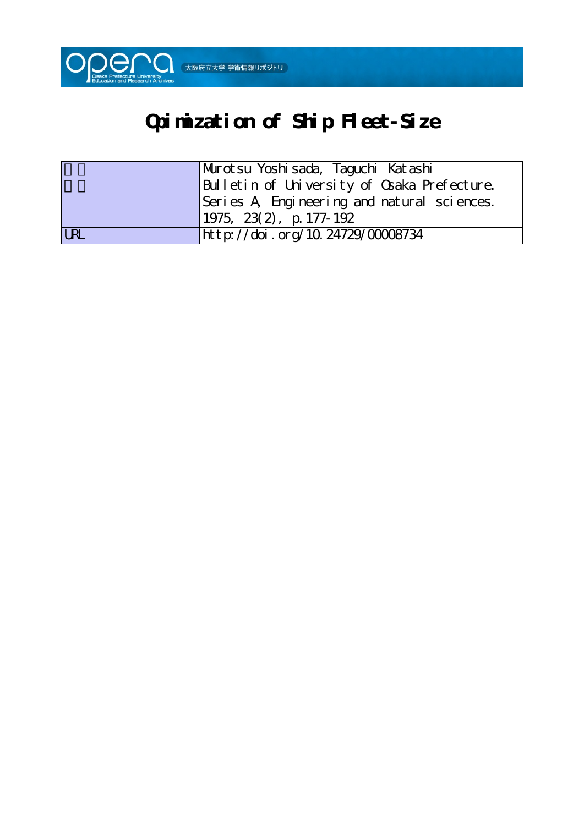

# **Opimization of Ship Fleet-Size**

|            | Murotsu Yoshisada, Taguchi Katashi          |
|------------|---------------------------------------------|
|            | Bulletin of University of Osaka Prefecture. |
|            | Series A Engineering and natural sciences.  |
|            | $1975, 23(2), p. 177-192$                   |
| <b>LRL</b> | http://doi.org/10.24729/00008734            |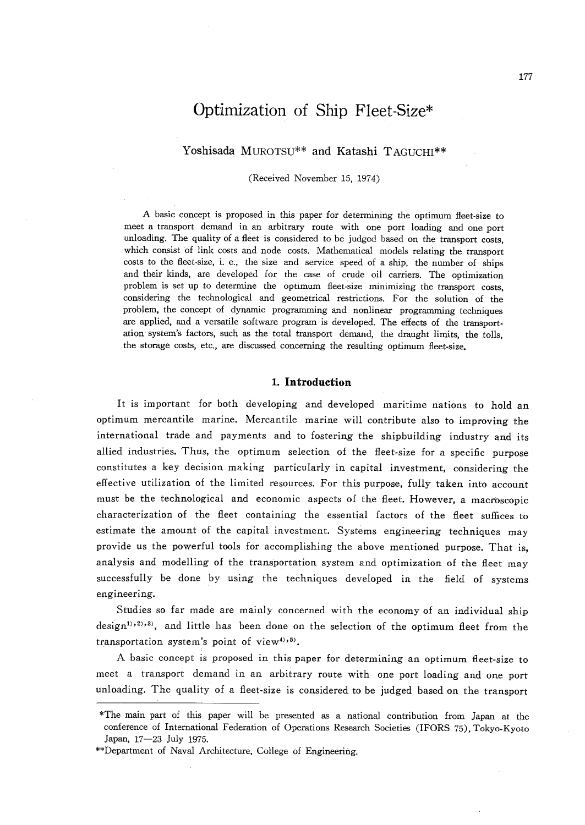# Optimization of Ship Fleet-Size\*

## Yoshisada MUROTSU\*\* and Katashi TAGUCHI\*\*

(Received November 15, i974)

A basic concept is proposed in this paper for determining the optimum fleet-size to meet a transport demand in an arbitrary route with one port loading and one port unloading. The quality of a fleet is considered to be judged based on the transport costs, which consist of link costs and node costs. Mathematical models relating the transport costs to the fleet-size, i. e., the size and service speed of a ship, the number of ships and their kinds, are developed for the case of crude oil carriers. The optimization problem is set up to determine the optimum fleet-size minimizing the transport costs, considering the technological and geometrical restrictions. For the solution of the problem, the concept of dynamic programming and nonlinear programming techniques are applied, and a versatile software program is developed. The effects of the transport ation system's factors, such as the total transport demand, the draught limits, the tolls, the storage costs, etc., are discussed concerning the resulting optimum fleet-size.

#### 1. Introduction

It is important for both developing and developed maritime nations to hold an optimum mercantile marine. Mercantile marine will contribute also to improving the international trade and payments and to fostering the shipbuilding industry and its allied industries. Thus, the optimum selection of the fieet-size for a specific purpose constitutes a key decision making particularly in capital investment, considering the effective utilization of the limited resources. For this purpose, fully taken into account must be the technological and economic aspects of the fleet. However, a macroscopic characterization of the fleet containing the essential factors of the fleet suffices to estimate the amount of the capital investment. Systems engineering techniques may provide us the powerful tools for accomplishing the above mentioned purpose. That is, analysis and modelling of the transportation system and optimization of the fieet may successfully be done by using the techniques developed in the field of systems engineering.

 Studies so far made are mainly concerned with the economy of an individual ship design<sup>1),2),3)</sup>, and little has been done on the selection of the optimum fleet from the transportation system's point of view<sup>4),5)</sup>.

 A basic concept is proposed in this paper for determining an optimum fleet-size to meet a transport demand in an arbitrary route with one port loading and one port unloading. The quality of a fleet-size is considered to be judged based on the transport

The main part of this paper will be presented as a national contribution from Japan at the same of this paper will be presented as a national contribution from Japan at the conference of International Federation of Operations Research Societies (IFORS 7s),Tokyo-Kyoto Japan, 17-23 July 1975.

<sup>\*\*</sup>Department of Naval Architecture, College of Engineering.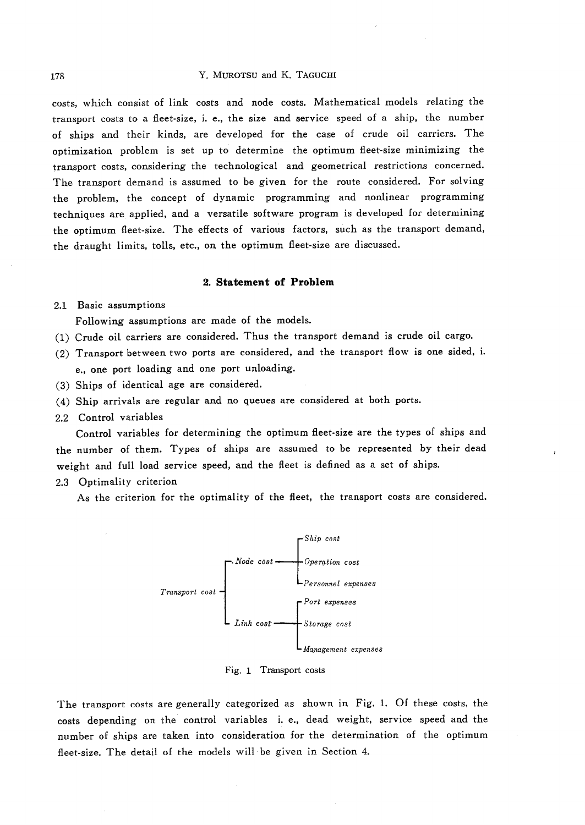#### 178 Y. MUROTSU and K. TAGUCHI

costs, which consist of link costs and node costs. Mathematical models relating the transport costs to a fleet-size, i. e., the size and service speed of a ship, the number of ships and their kinds, are developed for the case of crude oil carriers. The optimization problem is set up to determine the optimum fleet-size minimizing the transport costs, considering the technological and geometrical restrictions concerned. The transport demand is assumed to be given for the route considered. For solving the problem, the concept of dynamic programming and nonlinear programming techniques are applied, and a versatile software program is developed for determining the optimum fieet-size. The effects of various factors, such as the transport demand, the draught limits, tolls, etc., on the optimum fieet-size are discussed.

#### 2. Statement of Problem

#### 2.! Basic assumptions

Following assumptions are made of the models.

- (1) Crude oil carriers are considered. Thus the transport demand is crude oil cargo.
- (2) Transport between two ports are considered, and the transport flow is one sided, i. e., one port loading and one port unloading.
- (3) Ships of identical age are considered.
- (4) Ship arrivals are regular and no queues are considered at both ports.
- 2.2 Control variables

 Control variables for determining the optimum fleet-size are the types of ships and the number of them. Types of ships are assumed to be represented by their dead weight and full load service speed, and the fleet is defined as a set of ships.

2.3 Optimality criterion

As the criterion for the optimality of the fleet, the transport costs are considered.



Fig. 1 Transport costs

The transport costs are generally categorized as shown in Fig. 1. Of these costs, the costs depending on the control variables i. e., dead weight, service speed and the number of ships are taken into consideration for the determination of the optimur fleet-size. The detail of the models will be given in Section 4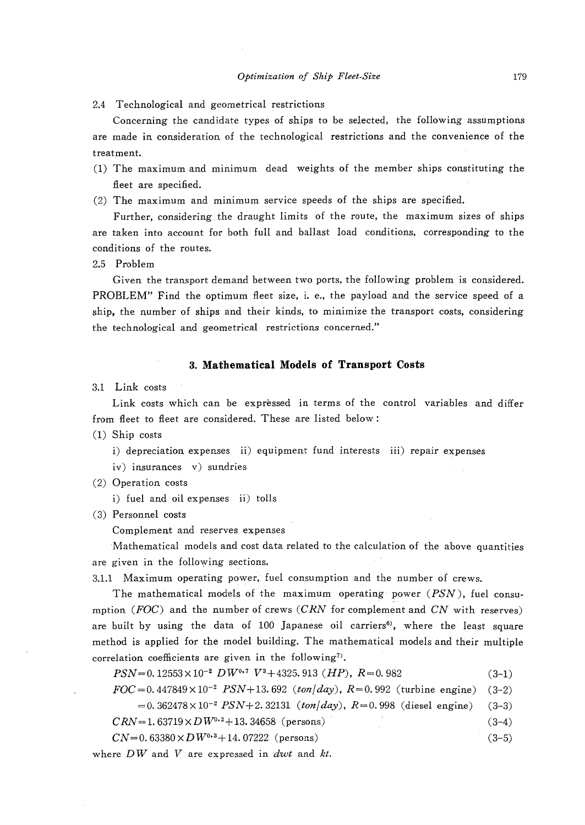Concerning the candidate types of ships to be selected, the following assumptions are made in consideration of the technological restrictions and the convenience of the treatment.

- (1) The maximum and minimum dead weights of the member ships constituting the fleet are specified.
- (2) The maximum and minimum service speeds of the ships are specified.

 Further, considering the draught limits of the route, the maximum sizes of ships are taken into account for both full and ballast load conditions, corresponding to the conditions of the routes.

2.5 Problem

Given the transport demand between two ports, the following problem is considered. PROBLEM" Find the optimum fieet size, i. e., the payload and the service speed of a ship, the number of ships and their kinds, to minimize the transport costs, considering the technologicai and geometrical restrictions concerned."

#### 3. Mathematical Models of Transport Costs

3.1 Link costs

 Link costs which can be expressed in terms of the control variables and differ from fleet to fieet are considered. These are listed below:

(1) Ship costs

i) depreciation expenses ii) equipment fund interests iii) repair expenses

iv) insurances v) sundries

(2) Operation costs

i) fuel and oil expenses ii) tolls

(3) Personnel costs

Complement and reserves expenses

 'Mathematical models and cost data related to the calculation of the above quantities are given in the following sections.

3.1.1 Maximum operating power, fuel consumption and the number of crews.

The mathematical models of the maximum operating power  $(PSN)$ , fuel consumption ( $FOC$ ) and the number of crews (CRN for complement and CN with reserves) are built by using the data of  $100$  Japanese oil carriers<sup>6</sup>, where the least square method is applied for the model building. The mathematical models and their multiple correlation coefficients are given in the following<sup>7</sup>.

 $PSN=0.12553\times10^{-2}~DW^{0.7}~V^3+4325.913~(HP),~R=0.982$  (3-1)

 $FOC = 0.447849 \times 10^{-2}$   $PSN+13.692$  (ton/day),  $R=0.992$  (turbine engine) (3-2)

 $=0.362478\times10^{-2}$  PSN+2.32131 (ton/day), R=0.998 (diesel engine) (3-3)

 $CRN = 1.63719 \times D W^{0.2} + 13.34658$  (persons) (3-4)

 $CN=0.63380\times DW<sup>0.3</sup>+14.07222$  (persons) (3-5)

where  $DW$  and  $V$  are expressed in dwt and  $kt$ .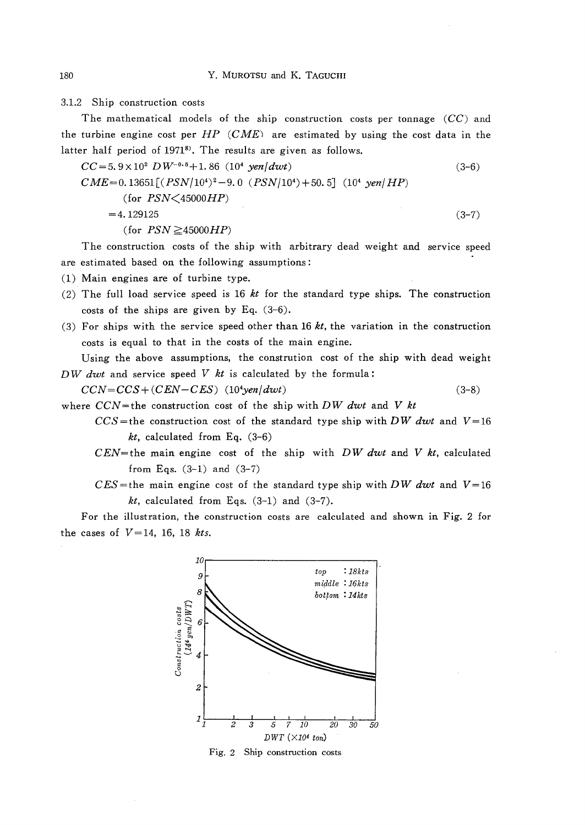3.1.2 Ship construction costs

The mathematical models of the ship construction costs per tonnage  $(CC)$  and the turbine engine cost per  $HP$  (CME) are estimated by using the cost data in the latter half period of 1971<sup>8</sup>. The results are given as follows.

$$
CC = 5.9 \times 10^{2} \, DW^{-0.5} + 1.86 \, (10^{4} \, yen/dwt) \tag{3-6}
$$
\n
$$
CME = 0.13651 \left[ (PSN/10^{4})^{2} - 9.0 \, (PSN/10^{4}) + 50.5 \right] \, (10^{4} \, yen/HP) \tag{3-6}
$$
\n
$$
= 4.129125 \tag{3-7}
$$
\n
$$
(for \, PSN \ge 45000HP)
$$

 The construction costs of the ship with arbitrary dead weight and service speed are estimated based on the following assumptions :

(1) Main engines are of turbine type.

- (2) The full load service speed is 16  $kt$  for the standard type ships. The construction costs of the ships are given by Eq. (3-6).
- (3) For ships with the service speed other than 16  $kt$ , the variation in the construction costs is equal to that in the costs of the main engine.

 Using the above assumptions, the constrution cost of the ship with dead weight DW dwt and service speed  $V$  kt is calculated by the formula:

- $CCN = CCS + (CEN CES)$  (10<sup>4</sup>yen/dwt) (3-8)
- where  $CCN$ =the construction cost of the ship with DW dwt and V kt
	- $CCS$ =the construction cost of the standard type ship with DW dwt and V=16  $kt$ , calculated from Eq.  $(3-6)$
	- $CEN$ =the main engine cost of the ship with DW dwt and V kt, calculated from Eqs.  $(3-1)$  and  $(3-7)$
	- $CES$ =the main engine cost of the standard type ship with DW dwt and  $V=16$  $kt$ , calculated from Eqs.  $(3-1)$  and  $(3-7)$ .

 For the illustration, the construction costs are calculated and shown in Fig. 2 for the cases of  $V=14$ , 16, 18 kts.



Fig. 2 Ship construction costs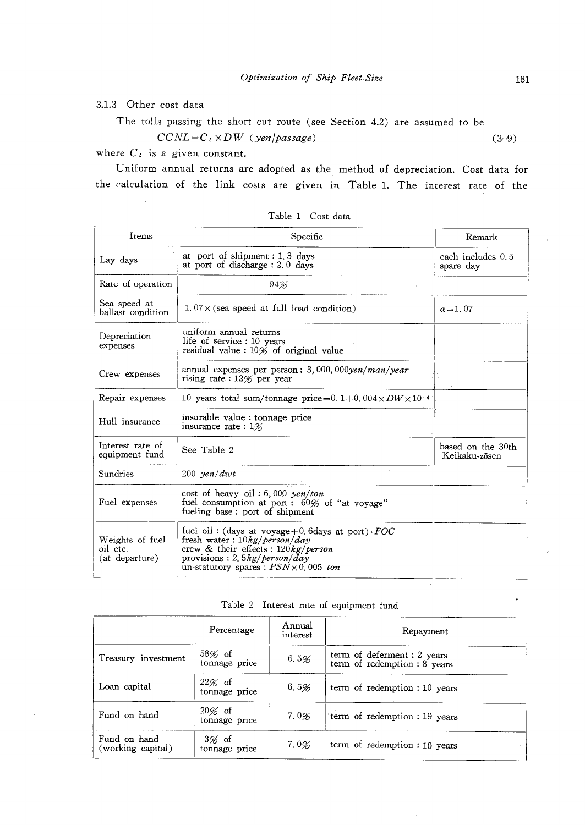3.1.3 Other cost data

The tolls passing the short cut route (see Section 4.2) are assumed to be

 $CCNL=C_t \times DW$  (yen/passage)

where  $C_t$  is a given constant.

Uniform annual returns are adopted as the method of depreciation. Cost data for the calculation of the link costs are given in Table 1. The interest rate of the

| Items                                         | Specific                                                                                                                                                                                                                   | Remark                             |
|-----------------------------------------------|----------------------------------------------------------------------------------------------------------------------------------------------------------------------------------------------------------------------------|------------------------------------|
| Lay days                                      | at port of shipment : 1, 3 days<br>at port of discharge $: 2, 0$ days                                                                                                                                                      | each includes 0.5<br>spare day     |
| Rate of operation                             | 94%                                                                                                                                                                                                                        |                                    |
| Sea speed at<br>ballast condition             | $1.07 \times$ (sea speed at full load condition)                                                                                                                                                                           | $\alpha = 1.07$                    |
| Depreciation<br>expenses                      | uniform annual returns<br>life of service : 10 years<br>residual value : $10\%$ of original value                                                                                                                          |                                    |
| Crew expenses                                 | annual expenses per person: $3,000,000$ yen/man/year<br>rising rate: $12\%$ per year                                                                                                                                       |                                    |
| Repair expenses                               | 10 years total sum/tonnage price=0.1+0.004 $\times$ DW $\times$ 10 <sup>-4</sup>                                                                                                                                           |                                    |
| Hull insurance                                | insurable value : tonnage price<br>insurance rate: $1\%$                                                                                                                                                                   |                                    |
| Interest rate of<br>equipment fund            | See Table 2                                                                                                                                                                                                                | based on the 30th<br>Keikaku-zõsen |
| Sundries                                      | $200$ yen/dwt                                                                                                                                                                                                              |                                    |
| Fuel expenses                                 | cost of heavy oil: 6,000 yen/ton<br>fuel consumption at port: 60% of "at voyage"<br>fueling base: port of shipment                                                                                                         |                                    |
| Weights of fuel<br>oil etc.<br>(at departure) | fuel oil: (days at voyage + 0, 6 days at port) $FOC$<br>fresh water: $10kg/person/day$<br>crew & their effects : $120\frac{kg}{person}$<br>provisions: 2.5 $kg/person/day$<br>un-statutory spares : $PSN \times 0.005$ ton |                                    |

Table 1 Cost data

Table 2 Interest rate of equipment fund

|                                   | Percentage                 | Annual<br>interest | Repayment                                                   |
|-----------------------------------|----------------------------|--------------------|-------------------------------------------------------------|
| Treasury investment               | $58\%$ of<br>tonnage price | 6.5%               | term of deferment : 2 years<br>term of redemption : 8 years |
| Loan capital                      | $22\%$ of<br>tonnage price | 6.5%               | term of redemption : 10 years                               |
| Fund on hand                      | $20\%$ of<br>tonnage price | 7.0%               | term of redemption : 19 years                               |
| Fund on hand<br>(working capital) | $3%$ of<br>tonnage price   | 7.0%               | term of redemption : 10 years                               |

(3-9)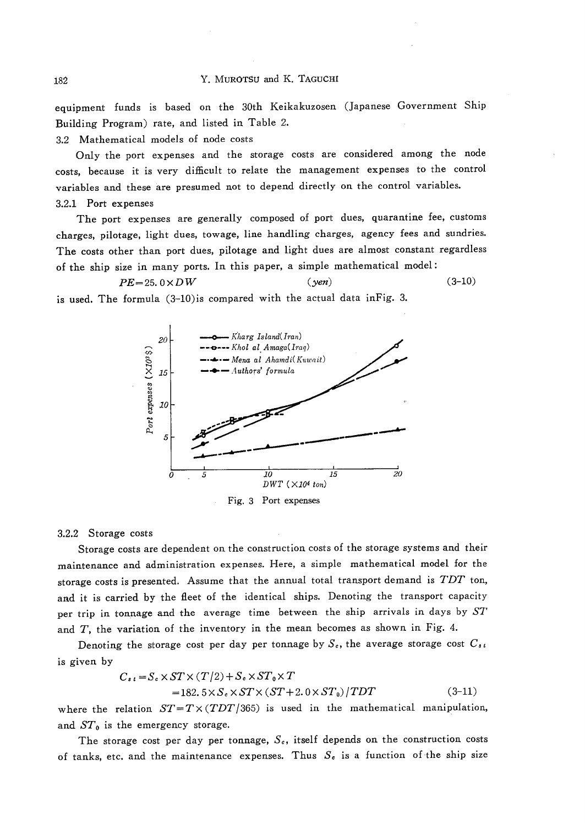equipment funds is based on the 30th Keikakuzosen (Japanese Government Ship Building Program) rate, and listed in Table 2.

3.2 Mathematical models of node costs

Only the port expenses and the storage costs are considered among the node costs, because it is very difficult to relate the management expenses to the control variables and these are presumed not to depend directly on the control variables. 3.2.1 Port expenses

The port expenses are generally composed of port dues, quarantine fee, customs charges, pilotage, light dues, towage, line handling charges, agency fees and sundries. The costs other than port dues, pilotage and light dues are almost constant regardless of the ship size in many ports. In this paper, a simple mathematical model:

 $(yen)$ 

 $(3-10)$ 

 $PE=25.0\times DW$ is used. The formula (3-10) is compared with the actual data in Fig. 3.



Fig. 3 Port expenses

#### 3.2.2 Storage costs

Storage costs are dependent on the construction costs of the storage systems and their maintenance and administration expenses. Here, a simple mathematical model for the storage costs is presented. Assume that the annual total transport demand is TDT ton, and it is carried by the fleet of the identical ships. Denoting the transport capacity per trip in tonnage and the average time between the ship arrivals in days by ST and  $T$ , the variation of the inventory in the mean becomes as shown in Fig. 4.

Denoting the storage cost per day per tonnage by  $S_c$ , the average storage cost  $C_{s,t}$ is given by

$$
C_{s,t} = S_c \times ST \times (T/2) + S_c \times ST_0 \times T
$$
  
= 182. 5 \times S\_c \times ST \times (ST + 2.0 \times ST\_0)/TDT (3-11)

where the relation  $ST = T \times (TDT/365)$  is used in the mathematical manipulation, and  $ST_0$  is the emergency storage.

The storage cost per day per tonnage,  $S_c$ , itself depends on the construction costs of tanks, etc. and the maintenance expenses. Thus  $S<sub>c</sub>$  is a function of the ship size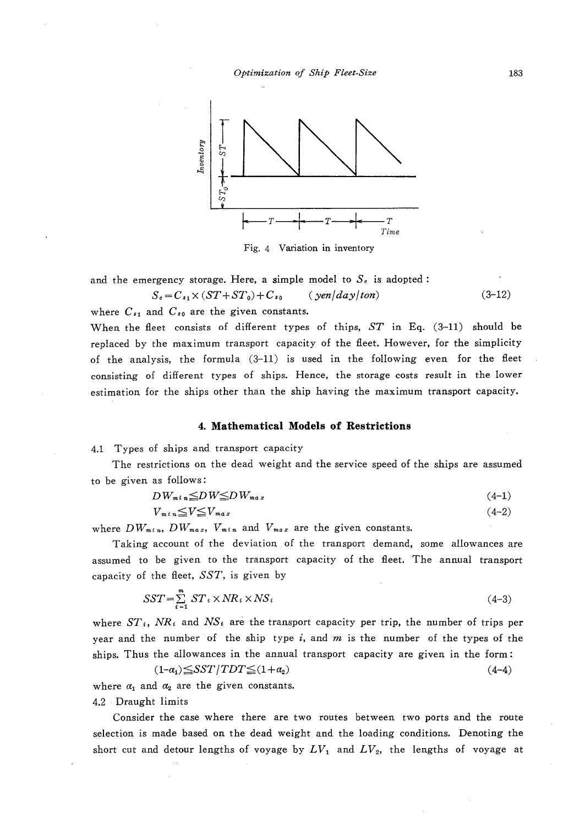

Fig. 4 Variation in inventory

and the emergency storage. Here, a simple model to  $S<sub>e</sub>$  is adopted:

$$
S_e = C_{s_1} \times (ST + ST_0) + C_{s_0} \qquad (yen/day/ton)
$$
 (3-12)

where  $C_{s_1}$  and  $C_{s_0}$  are the given constants.

When the fleet consists of different types of thips, ST in Eq. (3-11) should be replaced by the maximum transport capacity of the fleet. However, for the simplicity of the analysis, the formula (3-11) is used in the following even for the fleet consisting of different types of ships. Hence, the storage costs result in the lower estimation for the ships other than the ship having the maximum transport capacity.

#### 4. Mathematical Models of Restrictions

4.1 Types of ships and transport capacity

 The restrictions on the dead weight and the service speed of the ships are assumed to be given as follows:

$$
DW_{m \, i \, n} \le D \, W \le D \, W_{m \, a \, x} \tag{4-1}
$$

$$
V_{m i n} \le V \le V_{m a x} \tag{4-2}
$$

where  $DW_{min}$ ,  $DW_{max}$ ,  $V_{min}$  and  $V_{max}$  are the given constants.

 Taking account of the deviation.of the transport demand, some allowances are assumed to be given to the transport capacity of the fieet. The annual transport capacity of the fleet,  $SST$ , is given by

$$
SST = \sum_{i=1}^{m} ST_i \times NR_i \times NS_i \tag{4-3}
$$

where  $ST_i$ ,  $NR_i$  and  $NS_i$  are the transport capacity per trip, the number of trips per year and the number of the ship type  $i$ , and  $m$  is the number of the types of the ships. Thus the allowances in the annual transport capacity are given in the form:

$$
(1-a1) \leq SST / TDT \leq (1+a2)
$$
\n
$$
(4-4)
$$

where  $\alpha_1$  and  $\alpha_2$  are the given constants.

4,2 ・ Draught limits

 Consider the case where there are two routes between two ports and the route selection is made based on the dead weight and the loading conditions. Denoting the short cut and detour lengths of voyage by  $LV_1$  and  $LV_2$ , the lengths of voyage at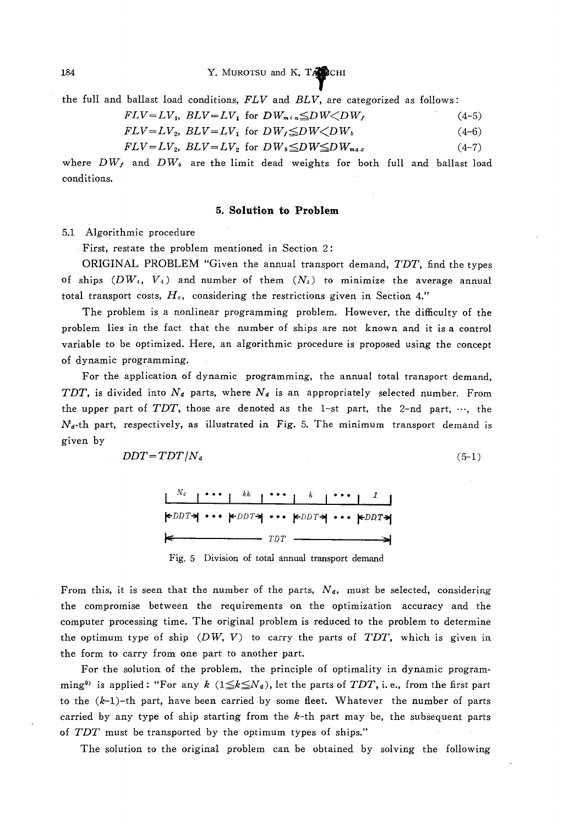the full and ballast load conditions, FLV and BLV, are categorized as follows:

$$
FLV = LV_1, BLV = LV_1 \text{ for } DW_{m \, i \, n} \leq DW \leq DW_f \tag{4-5}
$$

$$
FLV = LV_2, BLV = LV_1 \text{ for } DW_f \leq DW \leq DW_b \tag{4-6}
$$

$$
FLV = LV_2, \ BLV = LV_2 \text{ for } DW \leq DW \leq DW_{max} \tag{4-7}
$$

where  $DW_f$  and  $DW_b$  are the limit dead weights for both full and ballast load conditions.

#### 5. Solution to Problem

5.1 Algorithmic procedure

First, restate the problem mentioned in Section 2:

 ORIGINAL PROBLEM "Given the annual transport demand, TDT, find the types of ships  $(DW_i, V_i)$  and number of them  $(N_i)$  to minimize the average annual total transport costs,  $H<sub>c</sub>$ , considering the restrictions given in Section 4."

The problem is a nonlinear programming problem. However, the difficulty of the problem lies in the fact that the number of ships are not known and it isa control variable to be optimized. Here, an algorithmic procedure is proposed using the concept of dynamic programming.

For the application of dynamic programming, the annual total transport demand, TDT, is divided into  $N_d$  parts, where  $N_d$  is an appropriately selected number. From the upper part of TDT, those are denoted as the 1-st part, the 2-nd part,  $\cdots$ , the  $N_a$ -th part, respectively, as illustrated in Fig. 5. The minimum transport demand is given by

$$
DDT = TDT/N_d \tag{5-1}
$$

|  | $k$ DDT $\neg$ $k$ DDT $\neg$ $k$ DDT $\neg$ $k$ DDT $\neg$                     |  |  |
|--|---------------------------------------------------------------------------------|--|--|
|  | $\leftarrow$ $\leftarrow$ $\leftarrow$ $\leftarrow$ $\rightarrow$ $\rightarrow$ |  |  |

Fig. 5 Division of total annual transport demand

From this, it is seen that the number of the parts,  $N_d$ , must be selected, considering the compromise between the requirements on the optimization accuracy and the computer processing time. The original problem is reduced to the problem to determine the optimum type of ship  $(DW, V)$  to carry the parts of TDT, which is given in the form to carry from one part. to another part.

 For the solution of the problem, the principle of optimality in dynamic programming<sup>9)</sup> is applied: "For any  $k$  ( $1 \le k \le N_d$ ), let the parts of TDT, i. e., from the first part to the  $(k-1)$ -th part, have been carried by some fleet. Whatever the number of parts carried by any type of ship starting from the  $k$ -th part may be, the subsequent parts of  $TDT$  must be transported by the optimum types of ships."

The solution to the original problem can be obtained by solving the following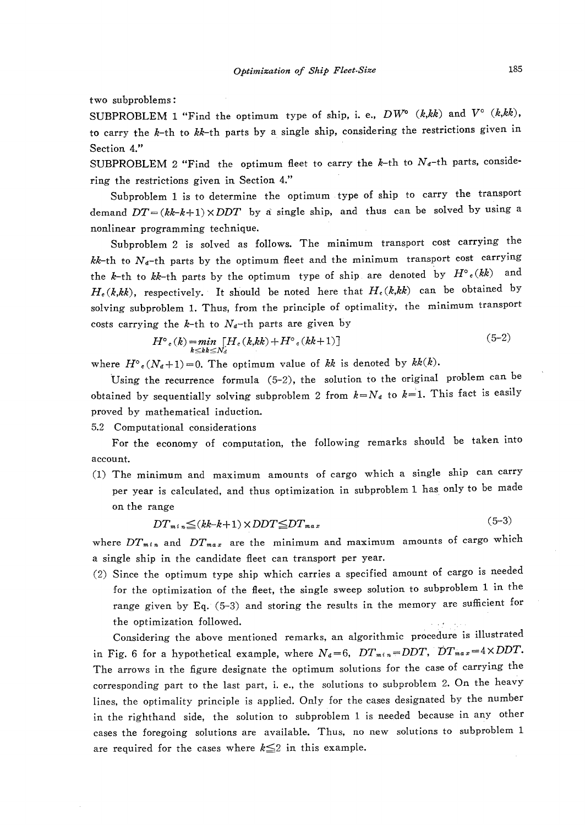two subproblems:

SUBPROBLEM 1 "Find the optimum type of ship, i. e.,  $DW^{\circ}$  (k,kk) and  $V^{\circ}$  (k,kk), to carry the k-th to  $kk$ -th parts by a single ship, considering the restrictions given in Section 4."

SUBPROBLEM 2 "Find the optimum fleet to carry the  $k$ -th to  $N_d$ -th parts, considering the restrictions given in Section 4."

 Subproblem 1 is to determine the optimum type of ship to carry the transport demand  $DT=(kk-k+1)\times DDT$  by a single ship, and thus can be solved by using a nonlinear programming technique.

 Subproblem 2 is solved as follows. The minimum transport cost carrying the  $kk$ -th to  $N_d$ -th parts by the optimum fleet and the minimum transport cost carrying the k-th to kk-th parts by the optimum type of ship are denoted by  $H^{\circ}$ <sub>c</sub>(kk) and  $H_c(k,kk)$ , respectively. It should be noted here that  $H_c(k,kk)$  can be obtained by solving subproblem 1. Thus, from the principle of optimality, the minimum transport costs carrying the k-th to  $N_d$ -th parts are given by

$$
H^{\circ}(k) = \min_{k \leq k} [H_c(k, kk) + H^{\circ}(kk+1)] \tag{5-2}
$$

where  $H^{\circ}(N_{\alpha}+1)=0$ . The optimum value of kk is denoted by  $kk(k)$ .

Using the recurrence formula  $(5-2)$ , the solution to the original problem can be obtained by sequentially solving subproblem 2 from  $k = N_d$  to  $k = 1$ . This fact is easily proved by mathematical induction.

5.2 Computationa! considerations

 For the economy of computation, the following remarks should be taken into account.

(1) The minimum and maximum amounts of cargo which a single ship can carry per year is calculated, and thus optimization in subproblem 1 has only to be made on the range

$$
DT_{m^t n} \leq (kk - k + 1) \times DDT \leq DT_{m a x} \tag{5-3}
$$

where  $DT_{min}$  and  $DT_{max}$  are the minimum and maximum amounts of cargo which a single ship in the candidate fleet can transport per year.

(2) Since the optimum type ship which carries a specified amount of cargo is needed for the optimization of the fleet, the single sweep solution to subproblem 1 in the range given by Eq. (5-3) and storing the results in the memory are suthcient for the optimization followed.<br>Considering the above mentioned remarks, an algorithmic procedure is illustrat

in Fig. 6 for a hypothetical example, where  $N_d=6$ ,  $DT_{m+n}=DDT$ ,  $DT_{max}=4\times DDT$ . The arrows in the figure designate the optimum solutions for the case of carrying the corresponding part to the last part, i. e., the solutions to subproblem 2. 0n the heavy lines, the optimality principle is applied. Only for the cases designated by the number in the righthand side, the solution to subproblem 1 is needed because in any other cases the foregoing solutions are available. Thus, no new solutions to subproblem 1 are required for the cases where  $k \leq 2$  in this example.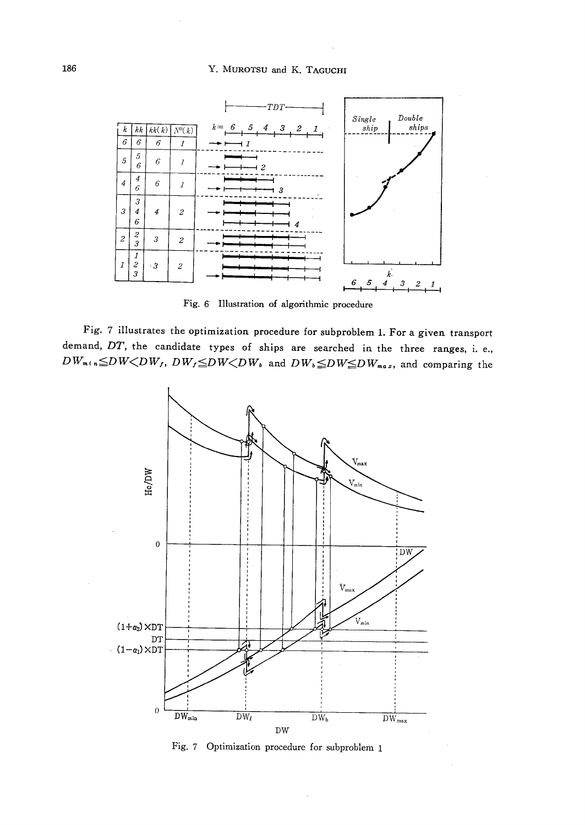

Fig. 6 Illustration of algorithmic procedure

Fig. 7 illustrates the optimization procedure for subproblem 1. For a given transport demand,  $DT$ , the candidate types of ships are searched in the three ranges, i. e.,  $DW_{m+n} {\leq} DW {\leq} DW, DW_f {\leq} DW {\leq} DW_k$  and  $DW_{b} {\leq} DW {\leq} DW_{m a x}$ , and comparing the



Fig. 7 Optimization procedure for subproblem 1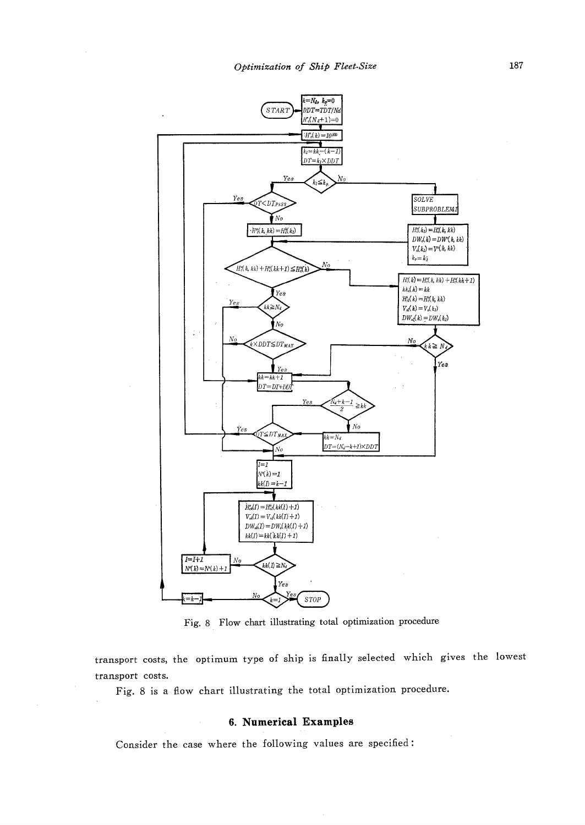

Fig. 8 Flow chart illustrating total optimization procedure

transport costs, the optimum type of ship is finally selected which gives the lowest transport costs.

Fig. 8 is a flow chart illustrating the total optimization procedure.

#### 6. Numerical Examples

Consider the case where the following values are specified: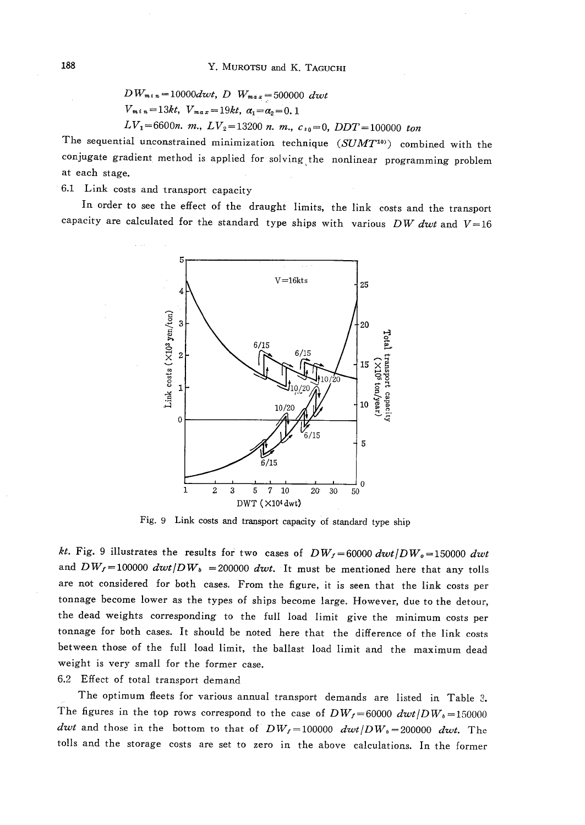$DW_{min} = 10000dwt$ , D  $W_{max} = 500000$  dwt  $V_{m i n} = 13kt$ ,  $V_{m a x} = 19kt$ ,  $\alpha_1 = \alpha_2 = 0.1$  $LV_1=6600n$ . m.,  $LV_2=13200$  n. m.,  $c_{s0}=0$ ,  $DDT=100000$  ton

The sequential unconstrained minimization technique  $(SUMT^{10})$  combined with the conjugate gradient method is applied for solving the nonlinear programming problem at each stage.

6.1 Link costs and transport capacity

In order to see the effect of the draught limits, the link costs and the transport capacity are calculated for the standard type ships with various  $DW$  dwt and  $V=16$ 



Fig. 9 Link costs and transport capacity of standard type ship

kt. Fig. 9 illustrates the results for two cases of  $DW_f = 60000 \, dwt/DW_o = 150000 \, dwt$ and  $DW_f = 100000 \frac{dwt}{DW_b} = 200000 \frac{dwt}{w}$ . It must be mentioned here that any tolls are not considered for both cases. From the figure, it is seen that the link costs per tonnage become lower as the types of ships become large. However, due to the detour, the dead weights corresponding to the full load limit give the minimum costs per tonnage for both cases. It should be noted here that the difference of the link costs between those of the full load limit, the ballast load limit and the maximum dead weight is very small for the former case.

6.2 Effect of total transport demand

The optimum fleets for various annual transport demands are listed in Table 3. The figures in the top rows correspond to the case of  $DW_f = 60000 \frac{dwf}{DW_b} = 150000$ dwt and those in the bottom to that of  $DW_f = 100000$  dwt/ $DW_b = 200000$  dwt. The tolls and the storage costs are set to zero in the above calculations. In the former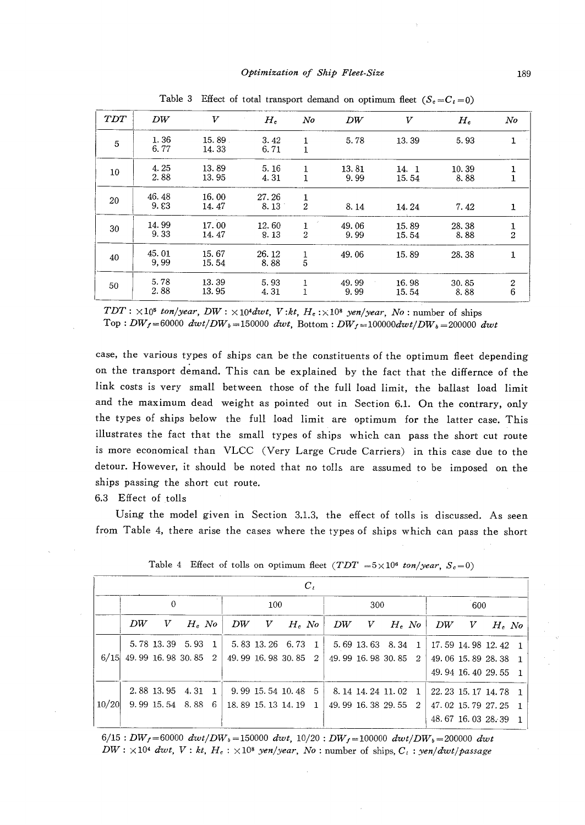| TDT | DW            | v                  | $H_{\rm c}$   | $N$ o               | DW                  | V              | $H_c$         | No                    |
|-----|---------------|--------------------|---------------|---------------------|---------------------|----------------|---------------|-----------------------|
| 5   | 1.36<br>6.77  | $15.89$ .<br>14.33 | 3.42<br>6.71  | 1<br>$\mathbf{1}$   | 5.78                | 13.39          | 5.93          |                       |
| 10  | 4.25<br>2.88  | 13.89<br>13.95     | 5.16<br>4.31  | 1<br>1              | 13.81<br>9.99       | 14. 1<br>15.54 | 10.39<br>8.88 | 1                     |
| 20  | 46.48<br>9.53 | 16.00<br>14.47     | 27.26<br>8.13 | 1<br>$\overline{2}$ | 8.14                | 14.24          | 7.42          | 1                     |
| 30  | 14.99<br>9.33 | 17.00<br>14.47     | 12.60<br>8.13 | 1<br>$\overline{2}$ | 49.06<br>9.99       | 15.89<br>15.54 | 28.38<br>8.88 | $\frac{1}{2}$         |
| 40  | 45.01<br>9.99 | 15.67<br>15.54     | 26.12<br>8.88 | $\frac{1}{5}$       | 49.06               | 15.89          | 28.38         | 1                     |
| 50  | 5.78<br>2.88  | 13.39<br>13.95     | 5.93<br>4.31  | 1<br>l              | 49.99<br>÷.<br>9.99 | 16.98<br>15.54 | 30.85<br>8.88 | $\boldsymbol{2}$<br>6 |

Table 3 Effect of total transport demand on optimum fleet  $(S_c = C_t = 0)$ 

 $TDT : \times 10^5$  ton/year, DW :  $\times 10^4$  dwt, V:kt, H<sub>c</sub>: $\times 10^8$  yen/year, No: number of ships Top:  $DW_f = 60000 \frac{dwt}{DW_b} = 150000 \frac{dwt}{W_f}$ . Bottom:  $DW_f = 100000dwt/DW_b = 200000 \frac{dwt}{W_f}$ 

case, the various types of ships can be the constituents of the optimum fleet depending on the transport demand. This can be explained by the fact that the differnce of the link costs is very small between those of the full load limit, the ballast load limit and the maximum dead weight as pointed out in Section 6.1. On the contrary, only the types of ships below the full load limit are optimum for the latter case. This illustrates the fact that the small types of ships which can pass the short cut route is more economical than VLCC (Very Large Crude Carriers) in this case due to the detour. However, it should be noted that no tolls are assumed to be imposed on the ships passing the short cut route.

6.3 Effect of tolls

Using the model given in Section 3.1.3, the effect of tolls is discussed. As seen from Table 4, there arise the cases where the types of ships which can pass the short

|       |    |                       |          |                     |                      |         | $C_t$ |                  |                     |          |              |                       |                     |          |              |
|-------|----|-----------------------|----------|---------------------|----------------------|---------|-------|------------------|---------------------|----------|--------------|-----------------------|---------------------|----------|--------------|
|       |    | $\theta$              |          |                     | 100                  |         |       | 300              |                     |          |              | 600                   |                     |          |              |
|       | DW | V                     | $H_c$ No | DW                  | $\boldsymbol{V}$     | $H.$ No |       | DW               | V                   | $H_c$ No |              | DW                    | V                   | $H_c$ No |              |
|       |    | 5.78 13.39 5.93       | -1       |                     | 5, 83 13, 26 6, 73 1 |         |       |                  | 5.69 13.63 8.34 1   |          |              | $17.59$ 14.98 12.42 1 |                     |          |              |
| 6/15  |    | 49.99 16.98 30.85 2   |          | 49.99 16.98 30.85 2 |                      |         |       |                  | 49.99 16.98 30.85 2 |          |              | 49.06 15.89 28.38     |                     |          | $-1$         |
|       |    |                       |          |                     |                      |         |       |                  |                     |          |              |                       | 49.94 16.40 29.55   |          | $\mathbf{1}$ |
|       |    | $2.88$ 13.95 $4.31$ 1 |          |                     | $9.99$ 15.54 10.48 5 |         |       | 8.14 14.24 11.02 |                     |          | $\mathbf{1}$ |                       | 22.23 15.17 14.78 1 |          |              |
| 10/20 |    | $9.99$ 15.54 8.88 6   |          | 18.89 15.13 14.19 1 |                      |         |       |                  | 49.99 16.38 29.55   |          | - 2          |                       | 47.02 15.79 27.25   |          |              |
|       |    |                       |          |                     |                      |         |       |                  |                     |          |              |                       | 48.67 16.03 28.39   |          |              |

Table 4 Effect of tolls on optimum fleet  $(TDT = 5 \times 10^6 \text{ ton/year}, S_c = 0)$ 

 $6/15:DW_f=60000\ dwt/DW_b=150000\ dwt, 10/20:DW_f=100000\ dwt/DW_b=200000\ dwt$  $DW: \times 10^4$  dwt,  $V: kt, H_c: \times 10^8$  yen/year, No: number of ships,  $C_i$ : yen/dwt/passage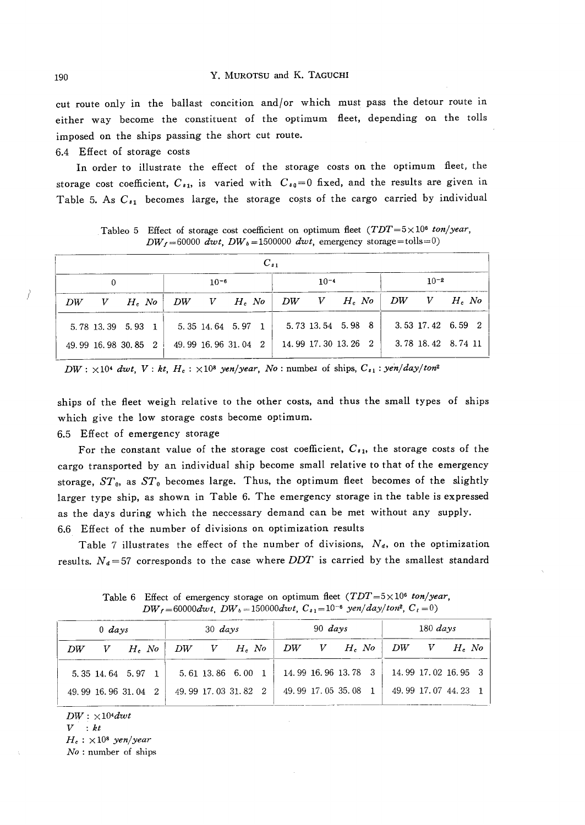cut route only in the ballast concition and/or which must pass the detour route in either way become the constituent of the optimum fleet, depending on the tolls imposed on the ships passing the short cut route.

6.4 Effect of storage costs

 In order to illustrate the effect of the storage costs on the optimum fieet, the storage cost coefficient,  $C_{s_1}$  is varied with  $C_{s_0}=0$  fixed, and the results are given in Table 5. As  $C_{s_1}$  becomes large, the storage costs of the cargo carried by individual

|    | $C_{s1}$            |                    |  |                     |                   |  |        |                   |  |                     |           |  |  |                     |  |
|----|---------------------|--------------------|--|---------------------|-------------------|--|--------|-------------------|--|---------------------|-----------|--|--|---------------------|--|
|    |                     |                    |  |                     | $10-6$            |  | $10-4$ |                   |  |                     | $10^{-2}$ |  |  |                     |  |
| DW | V                   | $H_{c}$ No $\vert$ |  | $DW = V - H_e$ No   |                   |  |        | $DW = V - H_c$ No |  |                     |           |  |  | $DW = V = H, No$    |  |
|    | 5.78 13.39 5.93 1   |                    |  |                     | 5.35 14.64 5.97 1 |  |        |                   |  | 5.73 13.54 5.98 8   |           |  |  | $3.53$ 17.42 6.59 2 |  |
|    | 49.99 16.98 30.85 2 |                    |  | 49.99 16.96 31.04 2 |                   |  |        |                   |  | 14.99 17.30 13.26 2 |           |  |  | 3.78 18.42 8.74 11  |  |

Tableo 5 Effect of storage cost coefficient on optimum fleet  $(TDT=5\times10^6$  ton/year,  $DW_f = 60000$  dwt,  $DW_b = 1500000$  dwt, emergency storage = tolls = 0)

 $DW: \times 10^4$  dwt,  $V:kt$ ,  $H_c: \times 10^8$  yen/year, No:number of ships,  $C_{s1}:yen/day/ton^2$ 

ships of the fleet weigh relative to the other costs, and thus the small types of ships which give the low storage costs become optimum.

6.5 Effect of emergency storage

For the constant value of the storage cost coefficient,  $C_{s1}$ , the storage costs of the cargo transported by an individual ship become small relative to that of the emergency storage,  $ST_0$ , as  $ST_0$  becomes large. Thus, the optimum fleet becomes of the slightly larger type ship, as shown in Table 6. The emergency storage in the table is expressed as the days during which the neccessary demand can be met without any supply. 6.6 Effect of the nurnber of divisions on optimization results

Table 7 illustrates the effect of the number of divisions,  $N_d$ , on the optimization results.  $N_d = 57$  corresponds to the case where  $DDT$  is carried by the smallest standard

|    | $0$ days |                     |                    | $30 \; days$ |                     |                                                                            | $90 \; days$        |  | $180 \; days$ |                     |  |       |  |
|----|----------|---------------------|--------------------|--------------|---------------------|----------------------------------------------------------------------------|---------------------|--|---------------|---------------------|--|-------|--|
| DW |          | $V$ H, No           | $DW = V = H_e N o$ |              |                     | $\begin{array}{cc} \mid & DW & V & H_{\epsilon}\;N o & DW & V \end{array}$ |                     |  |               |                     |  | H. No |  |
|    |          | 5.35 14.64 5.97 1   |                    |              | 5.61 13.86 6.00 1   |                                                                            | 14.99 16.96 13.78 3 |  |               | 14.99 17.02 16.95 3 |  |       |  |
|    |          | 49.99 16.96 31.04 2 |                    |              | 49.99 17.03 31.82 2 | 49.99.17.05.35.08 1                                                        |                     |  |               | 49.99 17.07 44.23 1 |  |       |  |

Table 6 Effect of emergency storage on optimum fleet  $(TDT=5\times10^6$  ton/year,  $DW_f = 60000dwt$ ,  $DW_b = 150000dwt$ ,  $C_{s1} = 10^{-6}$  yen/day/ton<sup>2</sup>,  $C_t = 0$ )

 $DW: \times 104$ dwt

 $V : kt$ 

 $H_c$ :  $\times$ 10<sup>8</sup> yen/year

 $No:$  number of ships

!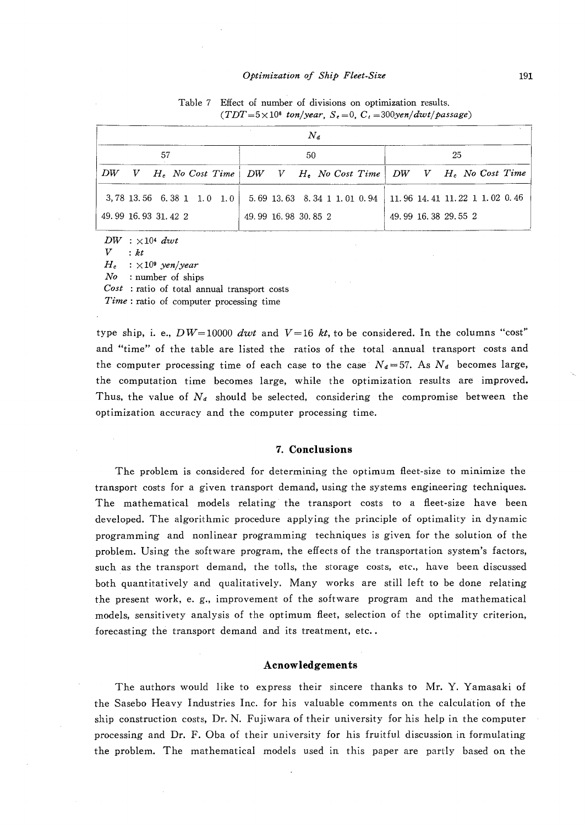#### Optimization of Ship Fleet-Size

Table 7 Effect of number of divisions on optimization results.

| Taue (<br>Elect of number of divisions on optimization results.<br>$(TDT=5\times10^6$ ton/year, $S_t=0$ , $C_t=300$ yen/dwt/passage) |  |
|--------------------------------------------------------------------------------------------------------------------------------------|--|
|                                                                                                                                      |  |

|                     |    |  |                             |  | $N_a$               |  |                                                                                                     |  |  |  |  |  |
|---------------------|----|--|-----------------------------|--|---------------------|--|-----------------------------------------------------------------------------------------------------|--|--|--|--|--|
|                     | 57 |  |                             |  | 50                  |  | 25                                                                                                  |  |  |  |  |  |
| DW                  |    |  |                             |  |                     |  | V H <sub>c</sub> No Cost Time   DW V H <sub>c</sub> No Cost Time   DW V H <sub>c</sub> No Cost Time |  |  |  |  |  |
|                     |    |  | $3,78$ 13.56 6.38 1 1.0 1.0 |  |                     |  | $5.69$ 13.63 8.34 1 1.01 0.94 11.96 14.41 11.22 1 1.02 0.46                                         |  |  |  |  |  |
| 49.99 16.93 31.42 2 |    |  |                             |  | 49.99 16.98 30.85 2 |  | 49.99.16.38.29.55.2                                                                                 |  |  |  |  |  |

 $\begin{array}{ll} DW & :\times 10^4\ dwt\ V & :kt \end{array}$ 

 $V : kt$ <br> $H_{c} : \times$  $\therefore \times 10^9$  yen/year

 $N\sigma$  : number of ships

 $Cost$ : ratio of total annual transport costs

Time : ratio of computer processing time

type ship, i. e.,  $DW=10000$  dwt and  $V=16$  kt, to be considered. In the columns "cost" and "time" of the table are listed the ratios of the total annual transport costs and the computer processing time of each case to the case  $N_d=57$ . As  $N_d$  becomes large, the computation time becomes large, while the optimization results are improved. Thus, the value of  $N_d$  should be selected, considering the compromise between the optimization accuracy and the computer processing time.

#### 7. Conclusions

The problem is considered for determining the optimum fleet-size to minimize the transport costs for a given transport demand, using the systems engineering techniques. The mathematical models relating' the transport costs to a fleet-size have been developed. The algorithmic procedure applying the principle of optimality in dynamic programming and nonlinear programming techniques is given for the solution of the problem. Using the software program, the effects of the transportation system's factors, such as the transport demand, the tolls, the storage costs, etc., have been discussed both quantitatively and qualitatively. Many works are still left to be done relating the present work, e. g., improvement of the software program and the mathematical models, sensitivety analysis of the optimum fleet, selection of the optimality criterion, forecasting the transport demand and its treatment, etc. .

#### in the control of the control of the control of the control of the control of the control of the control of th<br>The control of the control of the control of the control of the control of the control of the control of the c Acnowledgements

 The authors would like to express their sincere thanks to Mr. Y. Yamasaki of the Sasebo Heavy Industries Inc. for his valuable comments on the calculation of the ship construction costs, Dr. N. Fujiwara of their university for his help in the computer processing and Dr. F. Oba of their university for his fruitful discussion in formulating the problem. The mathematical models used in this paper are partly based on the